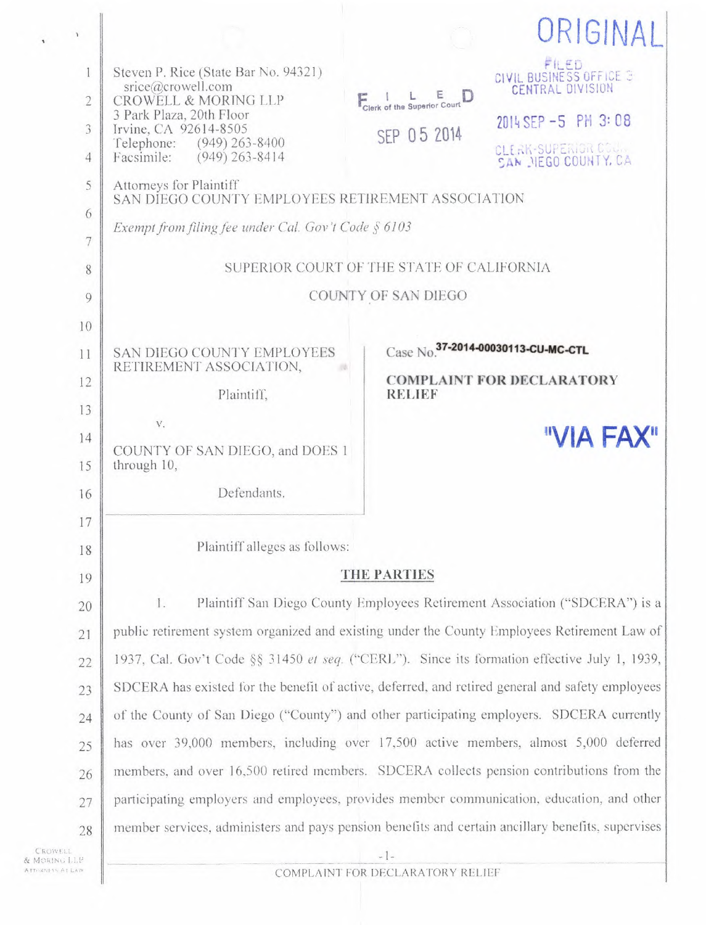| $\mathbf{r}$        |                                                                                                                                                                                                  |                                                                                                       | ORIGINA.                                                                           |
|---------------------|--------------------------------------------------------------------------------------------------------------------------------------------------------------------------------------------------|-------------------------------------------------------------------------------------------------------|------------------------------------------------------------------------------------|
| $\overline{2}$<br>3 | Steven P. Rice (State Bar No. 94321)<br>$\text{price}(\widehat{a}\text{crowell.com})$<br><b>CROWELL &amp; MORING LLP</b><br>3 Park Plaza, 20th Floor<br>Irvine, CA 92614-8505                    | Clerk of the Superior Court<br>SEP 05 2014                                                            | FILED<br>CIVIL BUSINESS OFFICE 3<br><b>CENTRAL DIVISION</b><br>2014 SEP -5 PM 3:08 |
| $\overline{4}$<br>5 | $(949)$ 263-8400<br>Telephone:<br>$(949)$ 263-8414<br>Facsimile:<br>Attorneys for Plaintiff                                                                                                      |                                                                                                       | CLERK-SUPERIGR COUR<br>SAN NEGO COUNTY, CA                                         |
| 6                   | SAN DIEGO COUNTY EMPLOYEES RETIREMENT ASSOCIATION<br>Exempt from filing fee under Cal. Gov't Code $\S$ 6103                                                                                      |                                                                                                       |                                                                                    |
| 7<br>8              | SUPERIOR COURT OF THE STATE OF CALIFORNIA                                                                                                                                                        |                                                                                                       |                                                                                    |
| 9                   | COUNTY OF SAN DIEGO                                                                                                                                                                              |                                                                                                       |                                                                                    |
| 10<br>11<br>12      | SAN DIEGO COUNTY EMPLOYEES<br>RETIREMENT ASSOCIATION,                                                                                                                                            | Case No. 37-2014-00030113-CU-MC-CTL<br><b>COMPLAINT FOR DECLARATORY</b><br><b>RELIEF</b><br>"VIA FAX" |                                                                                    |
| 13<br>14            | Plaintiff,<br>V.                                                                                                                                                                                 |                                                                                                       |                                                                                    |
| 15<br>16            | COUNTY OF SAN DIEGO, and DOES 1<br>through 10,<br>Defendants.                                                                                                                                    |                                                                                                       |                                                                                    |
| 17                  | Plaintiff alleges as follows:                                                                                                                                                                    |                                                                                                       |                                                                                    |
| 18<br>19            | THE PARTIES                                                                                                                                                                                      |                                                                                                       |                                                                                    |
| 20<br>21            | Plaintiff San Diego County Employees Retirement Association ("SDCERA") is a<br>1.<br>public retirement system organized and existing under the County Employees Retirement Law of                |                                                                                                       |                                                                                    |
| 22<br>23            | 1937, Cal. Gov't Code §§ 31450 et seq. ("CERL"). Since its formation effective July 1, 1939,<br>SDCERA has existed for the benefit of active, deferred, and retired general and safety employees |                                                                                                       |                                                                                    |
| 24                  | of the County of San Diego ("County") and other participating employers. SDCERA currently                                                                                                        |                                                                                                       |                                                                                    |
| 25<br>26            | has over 39,000 members, including over 17,500 active members, almost 5,000 deferred<br>members, and over 16,500 retired members. SDCERA collects pension contributions from the                 |                                                                                                       |                                                                                    |
| 27                  | participating employers and employees, provides member communication, education, and other<br>member services, administers and pays pension benefits and certain ancillary benefits, supervises  |                                                                                                       |                                                                                    |
| 28                  | $-1-$<br>COMPLAINT FOR DECLARATORY RELIEF                                                                                                                                                        |                                                                                                       |                                                                                    |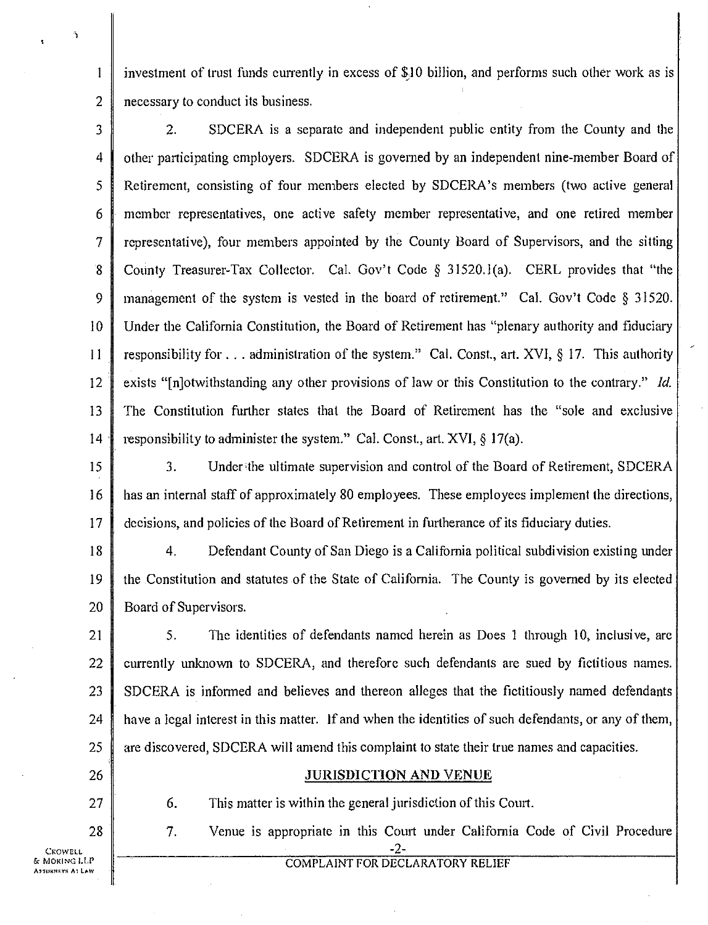investment of trust funds currently in excess of \$10 billion, and performs such other work as is necessary to conduct its business.

2. SDCERA is a separate and independent public entity from the County and the other participating employers. SDCERA is governed by an independent nine-member Board of Retirement, consisting of four members elected by SDCERA's members (two active general member representatives, one active safety member representative, and one retired member representative), four members appointed by the County Board of Supervisors, and the sitting County Treasurer-Tax Collector. Cal. Gov't Code § 31520.1(a). CERL provides that "the management of the system is vested in the board of retirement." Cal. Gov't Code § 31520. Under the California Constitution, the Board of Retirement has "plenary authority and fiduciary responsibility for . . . administration of the system." Cal. Const., art. XVI, § 17. This authority exists "In otwithstanding any other provisions of law or this Constitution to the contrary." *Id.* The Constitution further states that the Board of Retirement has the "sole and exclusive responsibility to administer the system." Cal. Const., art. XVI, § 17(a). 3 4 5 6 7 8 9 *10*  11 12 13 14

3. Under the ultimate supervision and control of the Board of Retirement, SDCERA has an internal staff of approximately 80 employees. These employees implement the directions, decisions, and policies of the Board of Retirement in furtherance of its fiduciary duties. 15 16 17

4. Defendant County of San Diego is a California political subdivision existing under the Constitution and statutes of the State of California. The County is governed by its elected Board of Supervisors. 18 19 20

5. The identities of defendants named herein as Does 1 through 10, inclusive, are currently unknown to SDCERA, and therefore such defendants are sued by fictitious names. SDCERA is informed and believes and thereon alleges that the fictitiously named defendants have a legal interest in this matter. If and when the identities of such defendants, or any of them, are discovered, SDCERA will amend this complaint to state their true names and capacities. 21 22 23 24 25

26

27

28

2

 $\mathbf{1}$ 

JURISDICTION AND VENUE

COMPLAINT FOR DECLARATORY RELIEF -2-

6. This matter is within the general jurisdiction of this Court.

7. Venue is appropriate in this Court under California Code of Civil Procedure

CROWELL dr MORING LIP **Altokneys At Law**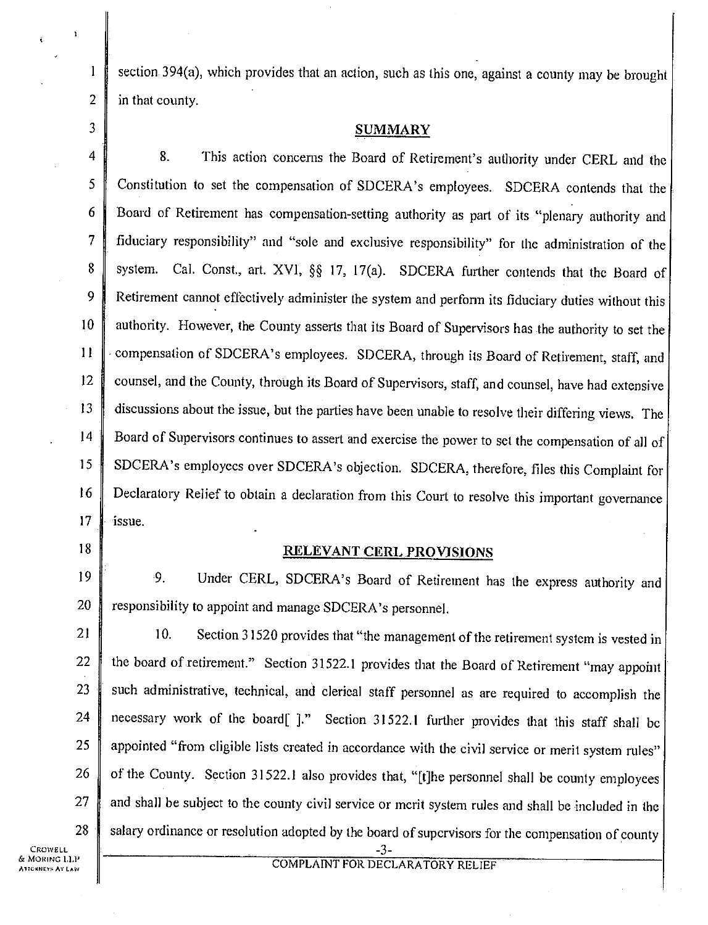section 394(a), which provides that an action, such as this one, against a county may be brought in that county.

## 3 SUMMARY

4 8. This action concerns the Board of Retirement's authority under CERL and the 5 Constitution to set the compensation of SDCERA's employees. SDCERA contends that the 6 Board of Retirement has compensation-setting authority as part of its "plenary authority and 7 fiduciary responsibility" and "sole and exclusive responsibility" for the administration of the 8 system. Cal. Const., art. XVI, §§ 17, 17(a). SDCERA further contends that the Board of 9 Retirement cannot effectively administer the system and perform its fiduciary duties without this 10 authority. However, the County asserts that its Board of Supervisors has the authority to set the 11 Compensation of SDCERA's employees. SDCERA, through its Board of Retirement, staff, and 12 counsel, and the County, through its Board of Supervisors, staff, and counsel, have had extensive 13 discussions about the issue, but the parties have been unable to resolve their differing views. The 14 Board of Supervisors continues to assert and exercise the power to set the compensation of all of 15 SDCERA's employees over SDCERA's objection. SDCERA, therefore, files this Complaint for 16 Declaratory Relief to obtain a declaration from this Court to resolve this important governance 17  $\parallel$  issue.

 $\mathbf{1}$ 

 $\overline{2}$ 

## 18 RELEVANT CERL PROVISIONS

19 9. Under CERL, SDCERA's Board of Retirement has the express authority and 20 **P** responsibility to appoint and manage SDCERA's personnel.

21  $\parallel$  10. Section 31520 provides that "the management of the retirement system is vested in 22 the board of retirement." Section 31522.1 provides that the Board of Retirement "may appoint" 23 such administrative, technical, and clerical staff personnel as are required to accomplish the necessary work of the board[ ]." Section 31522.1 further provides that this staff shall be appointed "from eligible lists created in accordance with the civil service or merit system rules" of the County. Section 31522.1 also provides that, "[t]he personnel shall be county employees and shall be subject to the county civil service or merit system rules and shall be included in the salary ordinance or resolution adopted by the board of supervisors for the compensation of county 24 25 26 27 28

CROWELL & MoRING LIP CRNEYS AT LAW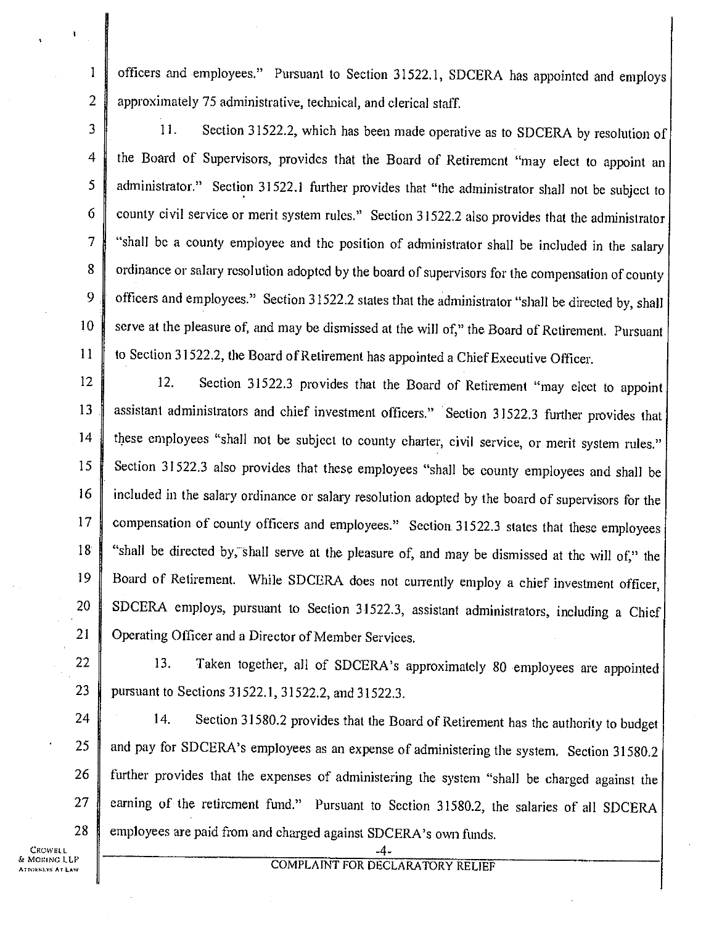officers and employees." Pursuant to Section 31522.1, SDCERA has appointed and employs 2 approximately 75 administrative, technical, and clerical staff.

3 11. Section 31522.2, which has been made operative as to SDCERA by resolution of 4 the Board of Supervisors, provides that the Board of Retirement "may elect to appoint an 5 administrator." Section 31522.1 further provides that "the administrator shall not be subject to 6 county civil service or merit system rules." Section 31522.2 also provides that the administrator 7 "shall be a county employee and the position of administrator shall be included in the salary 8 ordinance or salary resolution adopted by the board of supervisors for the compensation of county 9 officers and employees." Section 31522.2 states that the administrator "shall be directed by, shall 10 serve at the pleasure of, and may be dismissed at the will of," the Board of Retirement. Pursuant 11 to Section 31522.2, the Board of Retirement has appointed a Chief Executive Officer.

12 12. Section 31522.3 provides that the Board of Retirement "may elect to appoint 13 assistant administrators and chief investment officers." Section 31522.3 further provides that 14 these employees "shall not be subject to county charter, civil service, or merit system rules." 15 Section 31522.3 also provides that these employees "shall be county employees and shall be 16 included in the salary ordinance or salary resolution adopted by the board of supervisors for the 17 compensation of county officers and employees." Section 31522.3 states that these employees 18 "shall be directed by, shall serve at the pleasure of, and may be dismissed at the will of," the 19 Board of Retirement. While SDCERA does not currently employ a chief investment officer, 20 SDCERA employs, pursuant to Section 31522.3, assistant administrators, including a Chief 21 Operating Officer and a Director of Member Services.

22 13. Taken together, all of SDCERA's approximately 80 employees are appointed 23 pursuant to Sections 31522.1, 31522.2, and 31522.3.

24 14. Section 31580.2 provides that the Board of Retirement has the authority to budget 25 and pay for SDCERA's employees as an expense of administering the system. Section 31580.2 26 further provides that the expenses of administering the system "shall be charged against the 27 earning of the retircment fund." Pursuant to Section 31580.2, the salaries of all SDCERA 28 employees are paid from and charged against SDCERA's own funds.

CROWELL. S MORING LLP Airoki"vg AT LAW  $\mathbf{1}$ 

-4- COMPLAINT FOR DECLARATORY RELIEF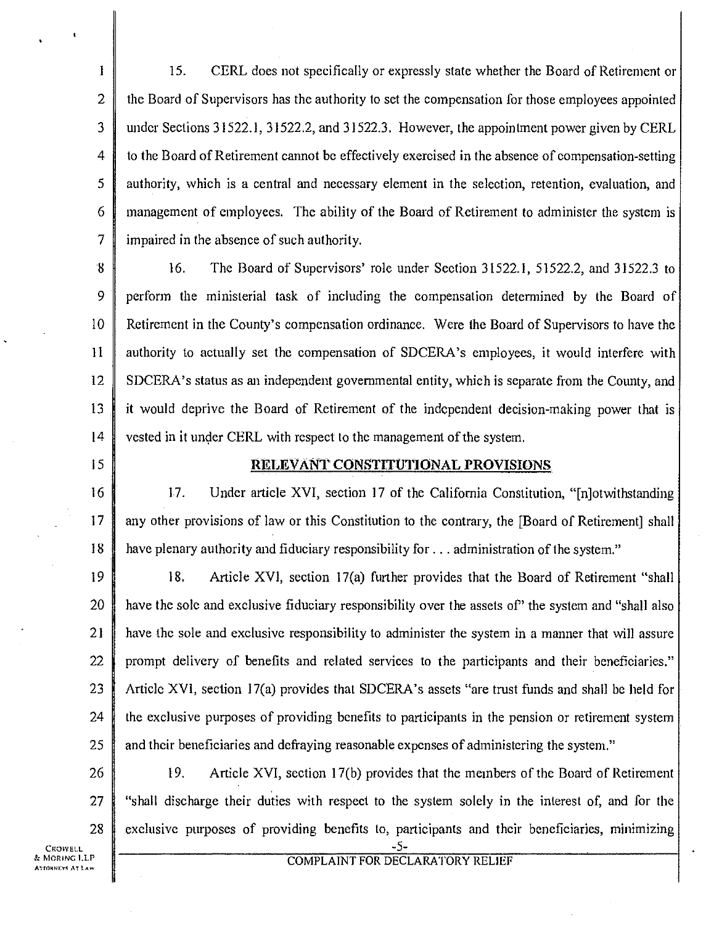$\mathbf{1}$ 15. CERL does not specifically or expressly state whether the Board of Retirement or 2 the Board of Supervisors has the authority to set the compensation for those employees appointed 3 under Sections 31522.1, 31522.2, and 31522.3. However, the appointment power given by CERL 4 to the Board of Retirement cannot be effectively exercised in the absence of compensation-setting 5 authority, which is a central and necessary element in the selection, retention, evaluation, and 6 management of employees. The ability of the Board of Retirement to administer the system is 7 impaired in the absence of such authority.

8 16. The Board of Supervisors' role under Section 31522.1, 51522.2, and 31522.3 to 9 perform the ministerial task of including the compensation determined by the Board of 10 Retirement in the County's compensation ordinance. Were the Board of Supervisors to have the 11 authority to actually set the compensation of SDCERA's employees, it would interfere with 12 SDCERA's status as an independent governmental entity, which is separate from the County, and 13 it would deprive the Board of Retirement of the independent decision-making power that is 14 vested in it under CERL with respect to the management of the system.

## 15 | RELEVANT CONSTITUTIONAL PROVISIONS

16 17. Under article XVI, section 17 of the California Constitution, "[n]otwithstanding 17 any other provisions of law or this Constitution to the contrary, the [Board of Retirement] shall 18 have plenary authority and fiduciary responsibility for ... administration of the system."

19 18. Article XVI, section 17(a) further provides that the Board of Retirement "shall 20 have the sole and exclusive fiduciary responsibility over the assets of the system and "shall also" 21 **have the sole and exclusive responsibility to administer the system in a manner that will assure** 22 prompt delivery of benefits and related services to the participants and their beneficiaries." 23 Article XVI, section 17(a) provides that SDCERA's assets "are trust funds and shall be held for 24  $\parallel$  the exclusive purposes of providing benefits to participants in the pension or retirement system 25 and their beneficiaries and defraying reasonable expenses of administering the system."

26 19. Article XVI, section 17(b) provides that the members of the Board of Retirement 27 "shall discharge their duties with respect to the system solely in the interest of, and for the 28 exclusive purposes of providing benefits to, participants and their beneficiaries, minimizing

now n -5- ATTORNEYS AT tAv4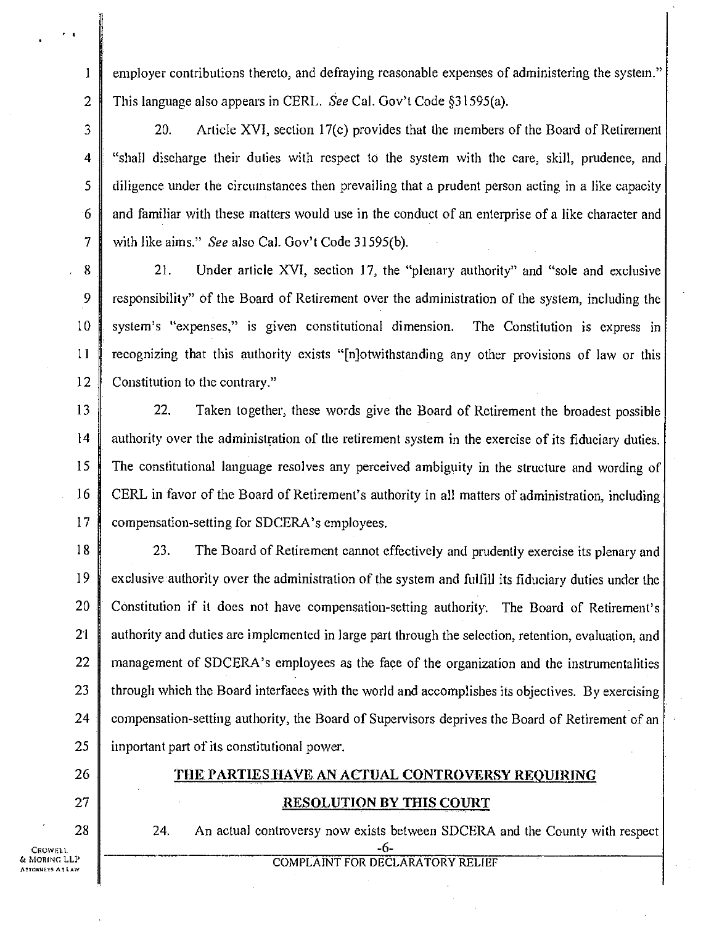employer contributions thereto, and defraying reasonable expenses of administering the system." This language also appears in CERL. *See* Cal. Gov't Code §31595(a).

20. Article XVI, section 17(c) provides that the members of the Board of Retirement 4 "shall discharge their duties with respect to the system with the care, skill, prudence, and 5 diligence under the circumstances then prevailing that a prudent person acting in a like capacity 6 and familiar with these matters would use in the conduct of an enterprise of a like character and 7 with like aims." *See* also Cal. Gov't Code 31595(b).

8 21. Under article XVI, section 17, the "plenary authority" and "sole and exclusive 9 responsibility" of the Board of Retirement over the administration of the system, including the 10 system's "expenses," is given constitutional dimension. The Constitution is express in 11 recognizing that this authority exists "[n]otwithstanding any other provisions of law or this 12 Constitution to the contrary."

13 22. Taken together, these words give the Board of Retirement the broadest possible 14 authority over the administration of the retirement system in the exercise of its fiduciary duties. 15 The constitutional language resolves any perceived ambiguity in the structure and wording of 16 CERL in favor of the Board of Retirement's authority in all matters of administration, including 17 **compensation-setting for SDCERA's employees.** 

18 23. The Board of Retirement cannot effectively and prudently exercise its plenary and 19 exclusive authority over the administration of the system and fulfill its fiduciary duties under the 20 Constitution if it does not have compensation-setting authority. The Board of Retirement's 21 authority and duties are implemented in large part through the selection, retention, evaluation, and 22 management of SDCERA's employees as the face of the organization and the instrumentalities 23  $\parallel$  through which the Board interfaces with the world and accomplishes its objectives. By exercising 24 compensation-setting authority, the Board of Supervisors deprives the Board of Retirement of an  $25$  important part of its constitutional power.

26 THE PARTIES HAVE AN ACTUAL CONTROVERSY REQUIRING

**1** 

 $\mathbf{1}$ 

 $\overline{2}$ 

 $\overline{3}$ 

- 27 || RESOLUTION BY THIS COURT
	-

## 28 24. An actual controversy now exists between SDCERA and the County with respect

CROWELL **G** MORING LLP **PRITCHE AT LAW** 

-6- COMPLAINT FOR DECLARATORY RELIEF